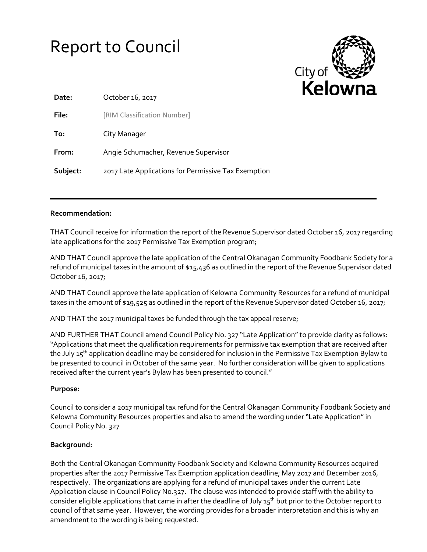# Report to Council



| Date:    | October 16, 2017                                    |
|----------|-----------------------------------------------------|
| File:    | [RIM Classification Number]                         |
| To:      | City Manager                                        |
| From:    | Angie Schumacher, Revenue Supervisor                |
| Subject: | 2017 Late Applications for Permissive Tax Exemption |

### **Recommendation:**

THAT Council receive for information the report of the Revenue Supervisor dated October 16, 2017 regarding late applications for the 2017 Permissive Tax Exemption program;

AND THAT Council approve the late application of the Central Okanagan Community Foodbank Society for a refund of municipal taxes in the amount of \$15,436 as outlined in the report of the Revenue Supervisor dated October 16, 2017;

AND THAT Council approve the late application of Kelowna Community Resources for a refund of municipal taxes in the amount of \$19,525 as outlined in the report of the Revenue Supervisor dated October 16, 2017;

AND THAT the 2017 municipal taxes be funded through the tax appeal reserve;

AND FURTHER THAT Council amend Council Policy No. 327 "Late Application"to provide clarity as follows: "Applications that meet the qualification requirements for permissive tax exemption that are received after the July 15<sup>th</sup> application deadline may be considered for inclusion in the Permissive Tax Exemption Bylaw to be presented to council in October of the same year. No further consideration will be given to applications received after the current year's Bylaw has been presented to council."

## **Purpose:**

Council to consider a 2017 municipal tax refund for the Central Okanagan Community Foodbank Society and Kelowna Community Resources properties and also to amend the wording under "Late Application" in Council Policy No. 327

## **Background:**

Both the Central Okanagan Community Foodbank Society and Kelowna Community Resources acquired properties after the 2017 Permissive Tax Exemption application deadline; May 2017 and December 2016, respectively. The organizations are applying for a refund of municipal taxes under the current Late Application clause in Council Policy No.327. The clause was intended to provide staff with the ability to consider eligible applications that came in after the deadline of July  $15^{th}$  but prior to the October report to council of that same year. However, the wording provides for a broader interpretation and this is why an amendment to the wording is being requested.